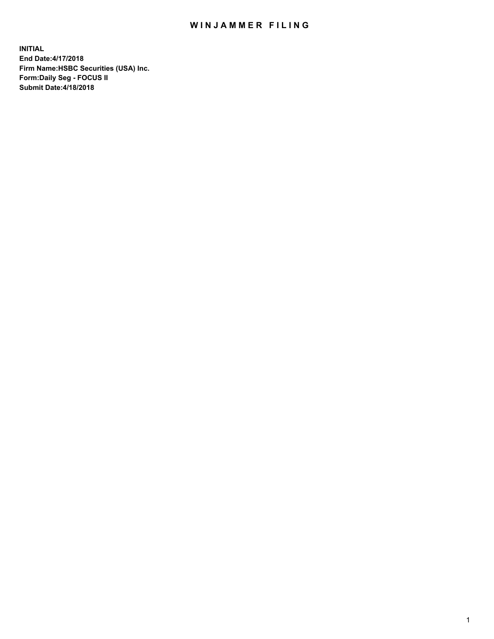## WIN JAMMER FILING

**INITIAL End Date:4/17/2018 Firm Name:HSBC Securities (USA) Inc. Form:Daily Seg - FOCUS II Submit Date:4/18/2018**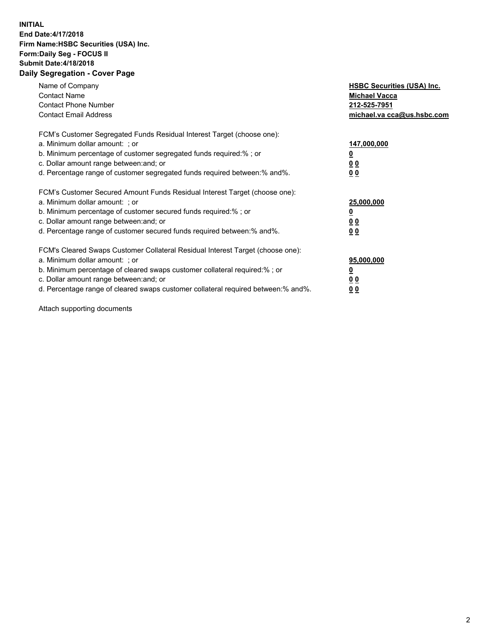## **INITIAL End Date:4/17/2018 Firm Name:HSBC Securities (USA) Inc. Form:Daily Seg - FOCUS II Submit Date:4/18/2018 Daily Segregation - Cover Page**

| Name of Company<br><b>Contact Name</b><br><b>Contact Phone Number</b><br><b>Contact Email Address</b>                                                                                                                                                                                                                         | <b>HSBC Securities (USA) Inc.</b><br><b>Michael Vacca</b><br>212-525-7951<br>michael.va cca@us.hsbc.com |
|-------------------------------------------------------------------------------------------------------------------------------------------------------------------------------------------------------------------------------------------------------------------------------------------------------------------------------|---------------------------------------------------------------------------------------------------------|
| FCM's Customer Segregated Funds Residual Interest Target (choose one):<br>a. Minimum dollar amount: ; or<br>b. Minimum percentage of customer segregated funds required:%; or<br>c. Dollar amount range between: and; or<br>d. Percentage range of customer segregated funds required between:% and%.                         | 147,000,000<br>00<br>0 <sub>0</sub>                                                                     |
| FCM's Customer Secured Amount Funds Residual Interest Target (choose one):<br>a. Minimum dollar amount: ; or<br>b. Minimum percentage of customer secured funds required:%; or<br>c. Dollar amount range between: and; or<br>d. Percentage range of customer secured funds required between: % and %.                         | 25,000,000<br>0 <sub>0</sub><br>0 <sub>0</sub>                                                          |
| FCM's Cleared Swaps Customer Collateral Residual Interest Target (choose one):<br>a. Minimum dollar amount: ; or<br>b. Minimum percentage of cleared swaps customer collateral required:%; or<br>c. Dollar amount range between: and; or<br>d. Percentage range of cleared swaps customer collateral required between:% and%. | 95,000,000<br>00<br><u>00</u>                                                                           |

Attach supporting documents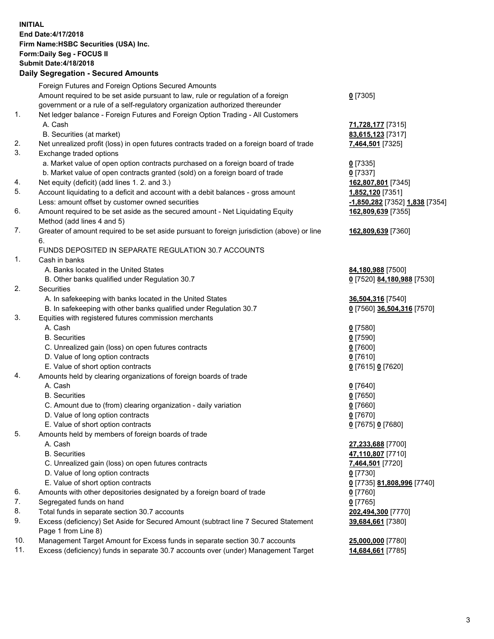**INITIAL End Date:4/17/2018 Firm Name:HSBC Securities (USA) Inc. Form:Daily Seg - FOCUS II Submit Date:4/18/2018 Daily Segregation - Secured Amounts**

Foreign Futures and Foreign Options Secured Amounts Amount required to be set aside pursuant to law, rule or regulation of a foreign government or a rule of a self-regulatory organization authorized thereunder **0** [7305] 1. Net ledger balance - Foreign Futures and Foreign Option Trading - All Customers A. Cash **71,728,177** [7315] B. Securities (at market) **83,615,123** [7317] 2. Net unrealized profit (loss) in open futures contracts traded on a foreign board of trade **7,464,501** [7325] 3. Exchange traded options a. Market value of open option contracts purchased on a foreign board of trade **0** [7335] b. Market value of open contracts granted (sold) on a foreign board of trade **0** [7337] 4. Net equity (deficit) (add lines 1. 2. and 3.) **162,807,801** [7345] 5. Account liquidating to a deficit and account with a debit balances - gross amount **1,852,120** [7351] Less: amount offset by customer owned securities **-1,850,282** [7352] **1,838** [7354] 6. Amount required to be set aside as the secured amount - Net Liquidating Equity Method (add lines 4 and 5) **162,809,639** [7355] 7. Greater of amount required to be set aside pursuant to foreign jurisdiction (above) or line 6. **162,809,639** [7360] FUNDS DEPOSITED IN SEPARATE REGULATION 30.7 ACCOUNTS 1. Cash in banks A. Banks located in the United States **84,180,988** [7500] B. Other banks qualified under Regulation 30.7 **0** [7520] **84,180,988** [7530] 2. Securities A. In safekeeping with banks located in the United States **36,504,316** [7540] B. In safekeeping with other banks qualified under Regulation 30.7 **0** [7560] **36,504,316** [7570] 3. Equities with registered futures commission merchants A. Cash **0** [7580] B. Securities **0** [7590] C. Unrealized gain (loss) on open futures contracts **0** [7600] D. Value of long option contracts **0** [7610] E. Value of short option contracts **0** [7615] **0** [7620] 4. Amounts held by clearing organizations of foreign boards of trade A. Cash **0** [7640] B. Securities **0** [7650] C. Amount due to (from) clearing organization - daily variation **0** [7660] D. Value of long option contracts **0** [7670] E. Value of short option contracts **0** [7675] **0** [7680] 5. Amounts held by members of foreign boards of trade A. Cash **27,233,688** [7700] B. Securities **47,110,807** [7710] C. Unrealized gain (loss) on open futures contracts **7,464,501** [7720] D. Value of long option contracts **0** [7730] E. Value of short option contracts **0** [7735] **81,808,996** [7740] 6. Amounts with other depositories designated by a foreign board of trade **0** [7760] 7. Segregated funds on hand **0** [7765] 8. Total funds in separate section 30.7 accounts **202,494,300** [7770] 9. Excess (deficiency) Set Aside for Secured Amount (subtract line 7 Secured Statement Page 1 from Line 8) **39,684,661** [7380] 10. Management Target Amount for Excess funds in separate section 30.7 accounts **25,000,000** [7780] 11. Excess (deficiency) funds in separate 30.7 accounts over (under) Management Target **14,684,661** [7785]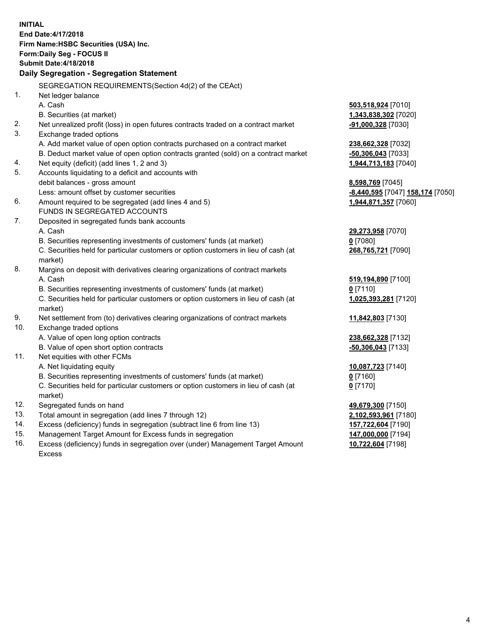**INITIAL End Date:4/17/2018 Firm Name:HSBC Securities (USA) Inc. Form:Daily Seg - FOCUS II Submit Date:4/18/2018 Daily Segregation - Segregation Statement** SEGREGATION REQUIREMENTS(Section 4d(2) of the CEAct) 1. Net ledger balance A. Cash **503,518,924** [7010] B. Securities (at market) **1,343,838,302** [7020] 2. Net unrealized profit (loss) in open futures contracts traded on a contract market **-91,000,328** [7030] 3. Exchange traded options A. Add market value of open option contracts purchased on a contract market **238,662,328** [7032] B. Deduct market value of open option contracts granted (sold) on a contract market **-50,306,043** [7033] 4. Net equity (deficit) (add lines 1, 2 and 3) **1,944,713,183** [7040] 5. Accounts liquidating to a deficit and accounts with debit balances - gross amount **8,598,769** [7045] Less: amount offset by customer securities **-8,440,595** [7047] **158,174** [7050] 6. Amount required to be segregated (add lines 4 and 5) **1,944,871,357** [7060] FUNDS IN SEGREGATED ACCOUNTS 7. Deposited in segregated funds bank accounts A. Cash **29,273,958** [7070] B. Securities representing investments of customers' funds (at market) **0** [7080] C. Securities held for particular customers or option customers in lieu of cash (at market) **268,765,721** [7090] 8. Margins on deposit with derivatives clearing organizations of contract markets A. Cash **519,194,890** [7100] B. Securities representing investments of customers' funds (at market) **0** [7110] C. Securities held for particular customers or option customers in lieu of cash (at market) **1,025,393,281** [7120] 9. Net settlement from (to) derivatives clearing organizations of contract markets **11,842,803** [7130] 10. Exchange traded options A. Value of open long option contracts **238,662,328** [7132] B. Value of open short option contracts **-50,306,043** [7133] 11. Net equities with other FCMs A. Net liquidating equity **10,087,723** [7140] B. Securities representing investments of customers' funds (at market) **0** [7160] C. Securities held for particular customers or option customers in lieu of cash (at market) **0** [7170] 12. Segregated funds on hand **49,679,300** [7150] 13. Total amount in segregation (add lines 7 through 12) **2,102,593,961** [7180] 14. Excess (deficiency) funds in segregation (subtract line 6 from line 13) **157,722,604** [7190] 15. Management Target Amount for Excess funds in segregation **147,000,000** [7194]

16. Excess (deficiency) funds in segregation over (under) Management Target Amount Excess

**10,722,604** [7198]